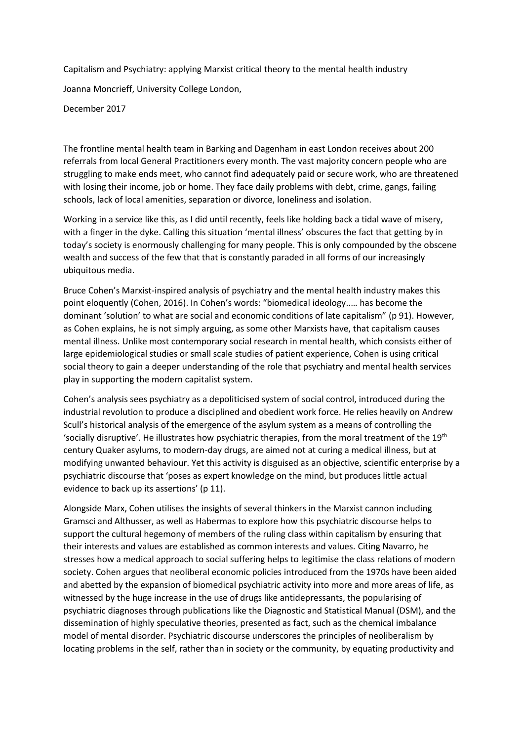Capitalism and Psychiatry: applying Marxist critical theory to the mental health industry

Joanna Moncrieff, University College London,

December 2017

The frontline mental health team in Barking and Dagenham in east London receives about 200 referrals from local General Practitioners every month. The vast majority concern people who are struggling to make ends meet, who cannot find adequately paid or secure work, who are threatened with losing their income, job or home. They face daily problems with debt, crime, gangs, failing schools, lack of local amenities, separation or divorce, loneliness and isolation.

Working in a service like this, as I did until recently, feels like holding back a tidal wave of misery, with a finger in the dyke. Calling this situation 'mental illness' obscures the fact that getting by in today's society is enormously challenging for many people. This is only compounded by the obscene wealth and success of the few that that is constantly paraded in all forms of our increasingly ubiquitous media.

Bruce Cohen's Marxist-inspired analysis of psychiatry and the mental health industry makes this point eloquently (Cohen, 2016). In Cohen's words: "biomedical ideology..… has become the dominant 'solution' to what are social and economic conditions of late capitalism" (p 91). However, as Cohen explains, he is not simply arguing, as some other Marxists have, that capitalism causes mental illness. Unlike most contemporary social research in mental health, which consists either of large epidemiological studies or small scale studies of patient experience, Cohen is using critical social theory to gain a deeper understanding of the role that psychiatry and mental health services play in supporting the modern capitalist system.

Cohen's analysis sees psychiatry as a depoliticised system of social control, introduced during the industrial revolution to produce a disciplined and obedient work force. He relies heavily on Andrew Scull's historical analysis of the emergence of the asylum system as a means of controlling the 'socially disruptive'. He illustrates how psychiatric therapies, from the moral treatment of the 19<sup>th</sup> century Quaker asylums, to modern-day drugs, are aimed not at curing a medical illness, but at modifying unwanted behaviour. Yet this activity is disguised as an objective, scientific enterprise by a psychiatric discourse that 'poses as expert knowledge on the mind, but produces little actual evidence to back up its assertions' (p 11).

Alongside Marx, Cohen utilises the insights of several thinkers in the Marxist cannon including Gramsci and Althusser, as well as Habermas to explore how this psychiatric discourse helps to support the cultural hegemony of members of the ruling class within capitalism by ensuring that their interests and values are established as common interests and values. Citing Navarro, he stresses how a medical approach to social suffering helps to legitimise the class relations of modern society. Cohen argues that neoliberal economic policies introduced from the 1970s have been aided and abetted by the expansion of biomedical psychiatric activity into more and more areas of life, as witnessed by the huge increase in the use of drugs like antidepressants, the popularising of psychiatric diagnoses through publications like the Diagnostic and Statistical Manual (DSM), and the dissemination of highly speculative theories, presented as fact, such as the chemical imbalance model of mental disorder. Psychiatric discourse underscores the principles of neoliberalism by locating problems in the self, rather than in society or the community, by equating productivity and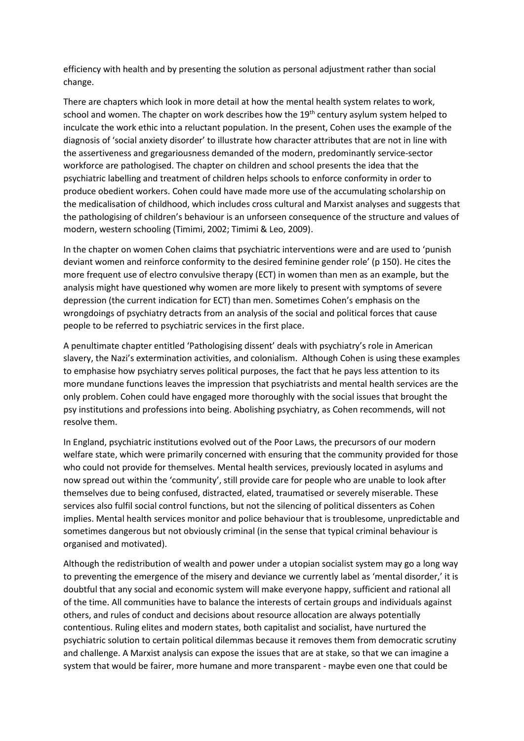efficiency with health and by presenting the solution as personal adjustment rather than social change.

There are chapters which look in more detail at how the mental health system relates to work, school and women. The chapter on work describes how the 19<sup>th</sup> century asylum system helped to inculcate the work ethic into a reluctant population. In the present, Cohen uses the example of the diagnosis of 'social anxiety disorder' to illustrate how character attributes that are not in line with the assertiveness and gregariousness demanded of the modern, predominantly service-sector workforce are pathologised. The chapter on children and school presents the idea that the psychiatric labelling and treatment of children helps schools to enforce conformity in order to produce obedient workers. Cohen could have made more use of the accumulating scholarship on the medicalisation of childhood, which includes cross cultural and Marxist analyses and suggests that the pathologising of children's behaviour is an unforseen consequence of the structure and values of modern, western schooling (Timimi, 2002; Timimi & Leo, 2009).

In the chapter on women Cohen claims that psychiatric interventions were and are used to 'punish deviant women and reinforce conformity to the desired feminine gender role' (p 150). He cites the more frequent use of electro convulsive therapy (ECT) in women than men as an example, but the analysis might have questioned why women are more likely to present with symptoms of severe depression (the current indication for ECT) than men. Sometimes Cohen's emphasis on the wrongdoings of psychiatry detracts from an analysis of the social and political forces that cause people to be referred to psychiatric services in the first place.

A penultimate chapter entitled 'Pathologising dissent' deals with psychiatry's role in American slavery, the Nazi's extermination activities, and colonialism. Although Cohen is using these examples to emphasise how psychiatry serves political purposes, the fact that he pays less attention to its more mundane functions leaves the impression that psychiatrists and mental health services are the only problem. Cohen could have engaged more thoroughly with the social issues that brought the psy institutions and professions into being. Abolishing psychiatry, as Cohen recommends, will not resolve them.

In England, psychiatric institutions evolved out of the Poor Laws, the precursors of our modern welfare state, which were primarily concerned with ensuring that the community provided for those who could not provide for themselves. Mental health services, previously located in asylums and now spread out within the 'community', still provide care for people who are unable to look after themselves due to being confused, distracted, elated, traumatised or severely miserable. These services also fulfil social control functions, but not the silencing of political dissenters as Cohen implies. Mental health services monitor and police behaviour that is troublesome, unpredictable and sometimes dangerous but not obviously criminal (in the sense that typical criminal behaviour is organised and motivated).

Although the redistribution of wealth and power under a utopian socialist system may go a long way to preventing the emergence of the misery and deviance we currently label as 'mental disorder,' it is doubtful that any social and economic system will make everyone happy, sufficient and rational all of the time. All communities have to balance the interests of certain groups and individuals against others, and rules of conduct and decisions about resource allocation are always potentially contentious. Ruling elites and modern states, both capitalist and socialist, have nurtured the psychiatric solution to certain political dilemmas because it removes them from democratic scrutiny and challenge. A Marxist analysis can expose the issues that are at stake, so that we can imagine a system that would be fairer, more humane and more transparent - maybe even one that could be